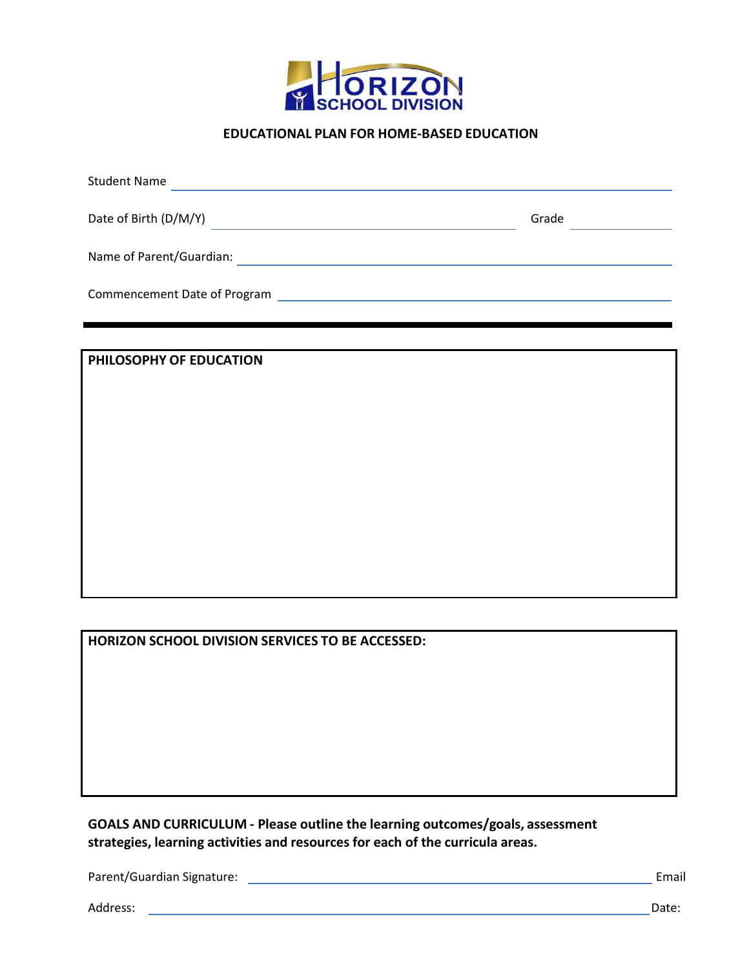

## **EDUCATIONAL PLAN FOR HOME‐BASED EDUCATION**

| <b>Student Name</b>          |       |  |  |  |  |
|------------------------------|-------|--|--|--|--|
| Date of Birth (D/M/Y)        | Grade |  |  |  |  |
| Name of Parent/Guardian:     |       |  |  |  |  |
| Commencement Date of Program |       |  |  |  |  |

### **PHILOSOPHY OF EDUCATION**

**HORIZON SCHOOL DIVISION SERVICES TO BE ACCESSED:**

**GOALS AND CURRICULUM ‐ Please outline the learning outcomes/goals, assessment strategies, learning activities and resources for each of the curricula areas.**

Parent/Guardian Signature: Email

Address: Date: Noted that the state of the state of the state of the state of the state of the state of the state of the state of the state of the state of the state of the state of the state of the state of the state of t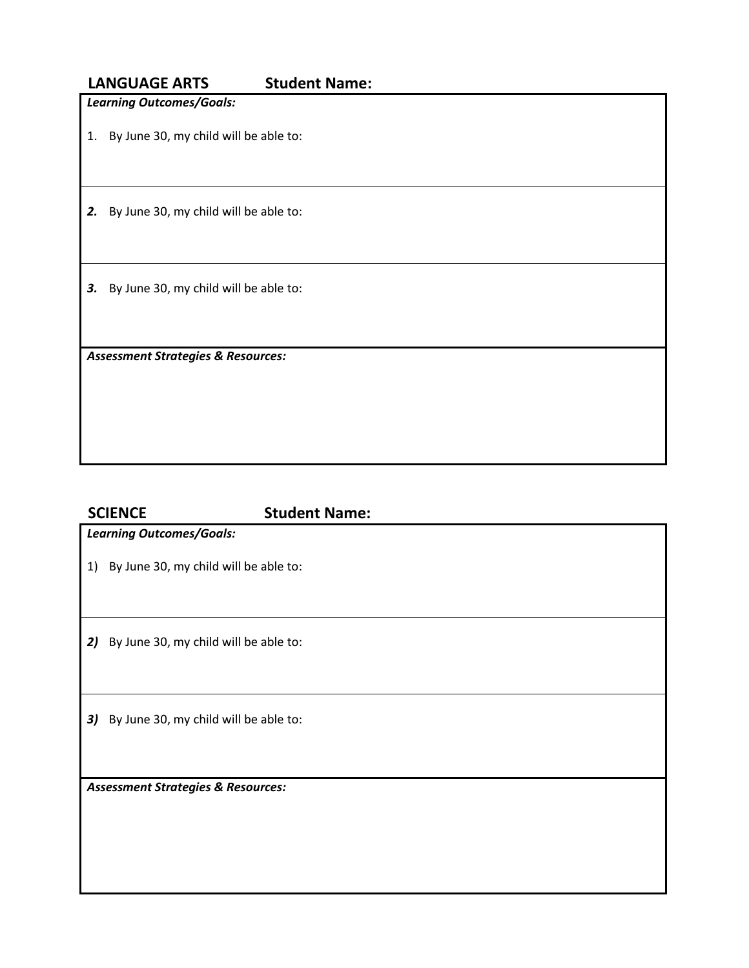|    | <b>LANGUAGE ARTS</b>                          | <b>Student Name:</b> |  |  |  |  |
|----|-----------------------------------------------|----------------------|--|--|--|--|
|    | <b>Learning Outcomes/Goals:</b>               |                      |  |  |  |  |
| 1. | By June 30, my child will be able to:         |                      |  |  |  |  |
| 2. | By June 30, my child will be able to:         |                      |  |  |  |  |
| 3. | By June 30, my child will be able to:         |                      |  |  |  |  |
|    | <b>Assessment Strategies &amp; Resources:</b> |                      |  |  |  |  |

# **SCIENCE Student Name:** *Learning Outcomes/Goals:* 1) By June 30, my child will be able to: 2) By June 30, my child will be able to: 3) By June 30, my child will be able to: *Assessment Strategies & Resources:*